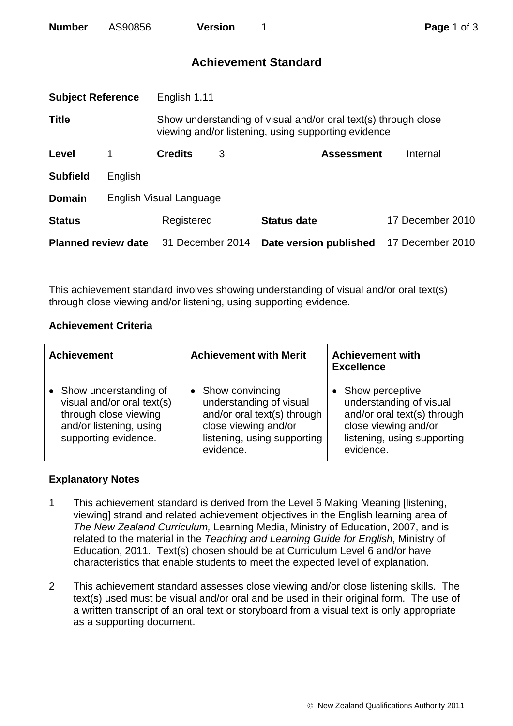| <b>Number</b> | AS90856 | <b>Version</b> |
|---------------|---------|----------------|
|               |         |                |

# **Achievement Standard**

| <b>Subject Reference</b>   |                         | English 1.11                                                                                                          |   |                        |                  |
|----------------------------|-------------------------|-----------------------------------------------------------------------------------------------------------------------|---|------------------------|------------------|
| <b>Title</b>               |                         | Show understanding of visual and/or oral text(s) through close<br>viewing and/or listening, using supporting evidence |   |                        |                  |
| Level                      | 1                       | <b>Credits</b>                                                                                                        | 3 | <b>Assessment</b>      | Internal         |
| <b>Subfield</b>            | English                 |                                                                                                                       |   |                        |                  |
| <b>Domain</b>              | English Visual Language |                                                                                                                       |   |                        |                  |
| <b>Status</b>              |                         | Registered                                                                                                            |   | <b>Status date</b>     | 17 December 2010 |
| <b>Planned review date</b> |                         | 31 December 2014                                                                                                      |   | Date version published | 17 December 2010 |
|                            |                         |                                                                                                                       |   |                        |                  |

This achievement standard involves showing understanding of visual and/or oral text(s) through close viewing and/or listening, using supporting evidence.

## **Achievement Criteria**

| <b>Achievement</b>                                                                                                                | <b>Achievement with Merit</b>                                                                                                                 | <b>Achievement with</b><br><b>Excellence</b>                                                                                                  |  |
|-----------------------------------------------------------------------------------------------------------------------------------|-----------------------------------------------------------------------------------------------------------------------------------------------|-----------------------------------------------------------------------------------------------------------------------------------------------|--|
| • Show understanding of<br>visual and/or oral text(s)<br>through close viewing<br>and/or listening, using<br>supporting evidence. | Show convincing<br>understanding of visual<br>and/or oral text(s) through<br>close viewing and/or<br>listening, using supporting<br>evidence. | Show perceptive<br>understanding of visual<br>and/or oral text(s) through<br>close viewing and/or<br>listening, using supporting<br>evidence. |  |

## **Explanatory Notes**

- 1 This achievement standard is derived from the Level 6 Making Meaning [listening, viewing] strand and related achievement objectives in the English learning area of *The New Zealand Curriculum,* Learning Media, Ministry of Education, 2007, and is related to the material in the *Teaching and Learning Guide for English*, Ministry of Education, 2011. Text(s) chosen should be at Curriculum Level 6 and/or have characteristics that enable students to meet the expected level of explanation.
- 2 This achievement standard assesses close viewing and/or close listening skills. The text(s) used must be visual and/or oral and be used in their original form. The use of a written transcript of an oral text or storyboard from a visual text is only appropriate as a supporting document.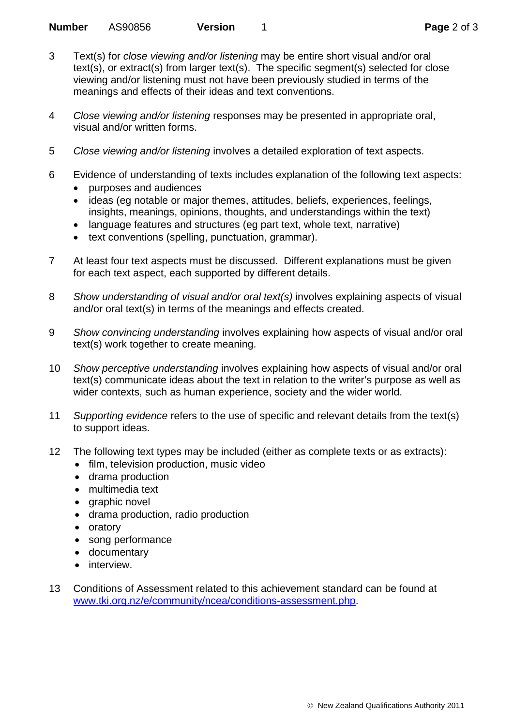- 3 Text(s) for *close viewing and/or listening* may be entire short visual and/or oral text(s), or extract(s) from larger text(s). The specific segment(s) selected for close viewing and/or listening must not have been previously studied in terms of the meanings and effects of their ideas and text conventions.
- 4 *Close viewing and/or listening* responses may be presented in appropriate oral, visual and/or written forms.
- 5 *Close viewing and/or listening* involves a detailed exploration of text aspects.
- 6 Evidence of understanding of texts includes explanation of the following text aspects:
	- purposes and audiences
	- ideas (eg notable or major themes, attitudes, beliefs, experiences, feelings, insights, meanings, opinions, thoughts, and understandings within the text)
	- language features and structures (eg part text, whole text, narrative)
	- text conventions (spelling, punctuation, grammar).
- 7 At least four text aspects must be discussed. Different explanations must be given for each text aspect, each supported by different details.
- 8 *Show understanding of visual and/or oral text(s)* involves explaining aspects of visual and/or oral text(s) in terms of the meanings and effects created.
- 9 *Show convincing understanding* involves explaining how aspects of visual and/or oral text(s) work together to create meaning.
- 10 *Show perceptive understanding* involves explaining how aspects of visual and/or oral text(s) communicate ideas about the text in relation to the writer's purpose as well as wider contexts, such as human experience, society and the wider world.
- 11 *Supporting evidence* refers to the use of specific and relevant details from the text(s) to support ideas.
- 12 The following text types may be included (either as complete texts or as extracts):
	- film, television production, music video
	- drama production
	- multimedia text
	- graphic novel
	- drama production, radio production
	- oratory
	- song performance
	- documentary
	- interview.
- 13 Conditions of Assessment related to this achievement standard can be found at [www.tki.org.nz/e/community/ncea/conditions-assessment.php](http://www.tki.org.nz/e/community/ncea/conditions-assessment.php).